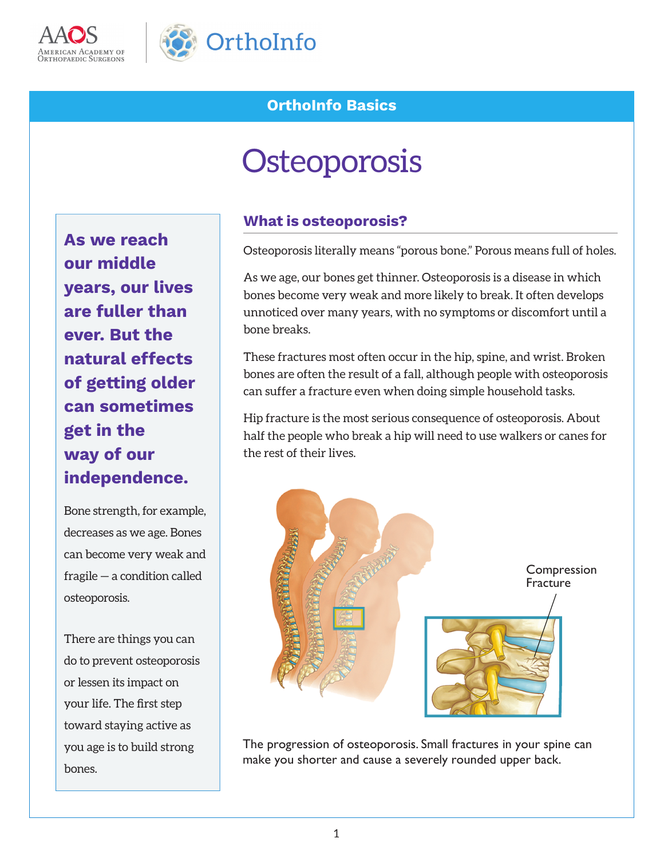



## **OrthoInfo Basics**

# **Osteoporosis**

**As we reach our middle years, our lives are fuller than ever. But the natural effects of getting older can sometimes get in the way of our independence.**

Bone strength, for example, decreases as we age. Bones can become very weak and fragile — a condition called osteoporosis.

There are things you can do to prevent osteoporosis or lessen its impact on your life. The first step toward staying active as you age is to build strong bones.

#### **What is osteoporosis?**

Osteoporosis literally means "porous bone." Porous means full of holes.

As we age, our bones get thinner. Osteoporosis is a disease in which bones become very weak and more likely to break. It often develops unnoticed over many years, with no symptoms or discomfort until a bone breaks.

These fractures most often occur in the hip, spine, and wrist. Broken bones are often the result of a fall, although people with osteoporosis can suffer a fracture even when doing simple household tasks.

Hip fracture is the most serious consequence of osteoporosis. About half the people who break a hip will need to use walkers or canes for the rest of their lives.



The progression of osteoporosis. Small fractures in your spine can make you shorter and cause a severely rounded upper back.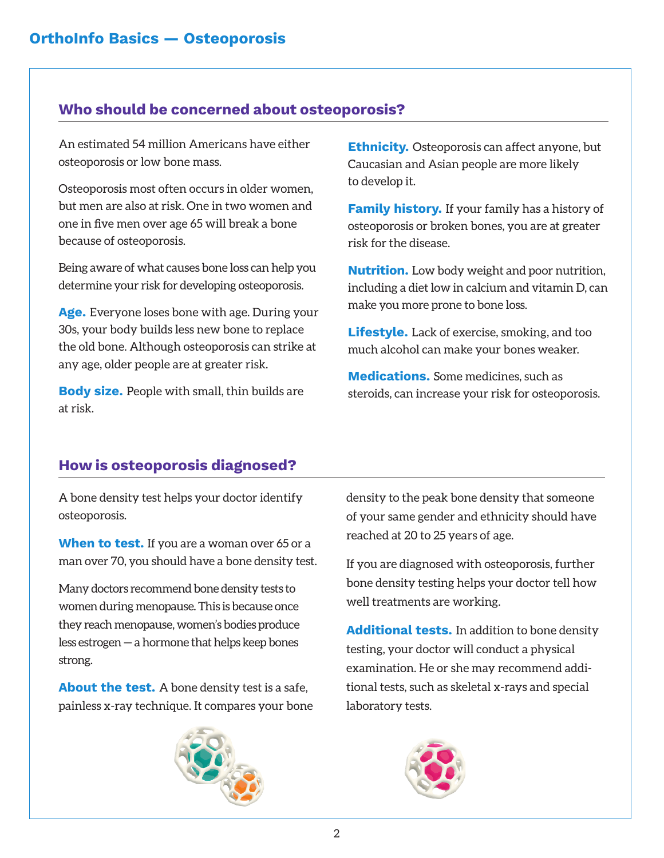## **Who should be concerned about osteoporosis?**

An estimated 54 million Americans have either osteoporosis or low bone mass.

Osteoporosis most often occurs in older women, but men are also at risk. One in two women and one in five men over age 65 will break a bone because of osteoporosis.

Being aware of what causes bone loss can help you determine your risk for developing osteoporosis.

**Age.** Everyone loses bone with age. During your 30s, your body builds less new bone to replace the old bone. Although osteoporosis can strike at any age, older people are at greater risk.

**Body size.** People with small, thin builds are at risk.

**Ethnicity.** Osteoporosis can affect anyone, but Caucasian and Asian people are more likely to develop it.

**Family history.** If your family has a history of osteoporosis or broken bones, you are at greater risk for the disease.

**Nutrition.** Low body weight and poor nutrition, including a diet low in calcium and vitamin D, can make you more prone to bone loss.

**Lifestyle.** Lack of exercise, smoking, and too much alcohol can make your bones weaker.

**Medications.** Some medicines, such as steroids, can increase your risk for osteoporosis.

## **How is osteoporosis diagnosed?**

A bone density test helps your doctor identify osteoporosis.

**When to test.** If you are a woman over 65 or a man over 70, you should have a bone density test.

Many doctors recommend bone density tests to women during menopause. This is because once they reach menopause, women's bodies produce less estrogen — a hormone that helps keep bones strong.

**About the test.** A bone density test is a safe, painless x-ray technique. It compares your bone



density to the peak bone density that someone of your same gender and ethnicity should have reached at 20 to 25 years of age.

If you are diagnosed with osteoporosis, further bone density testing helps your doctor tell how well treatments are working.

**Additional tests.** In addition to bone density testing, your doctor will conduct a physical examination. He or she may recommend additional tests, such as skeletal x-rays and special laboratory tests.

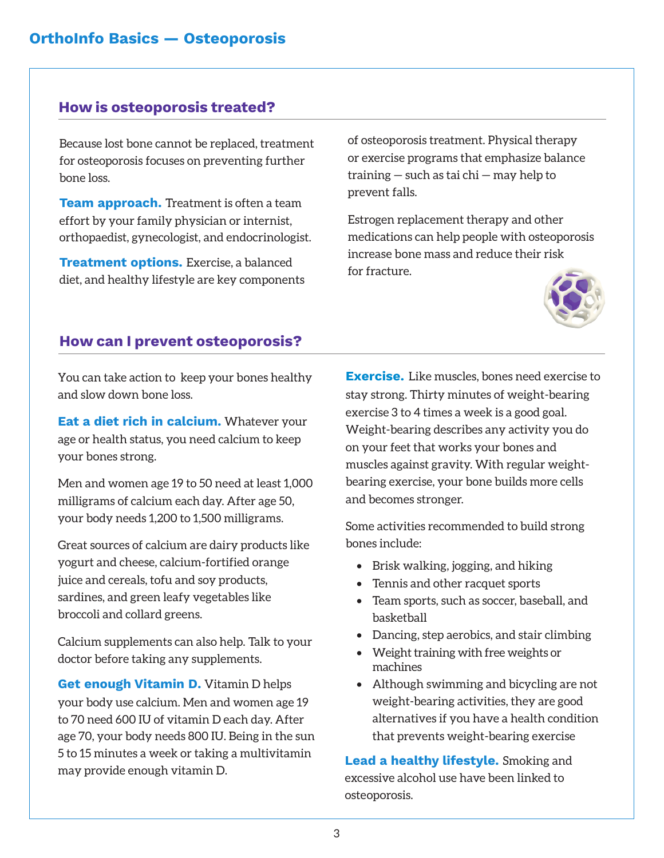#### **How is osteoporosis treated?**

Because lost bone cannot be replaced, treatment for osteoporosis focuses on preventing further bone loss.

**Team approach.** Treatment is often a team effort by your family physician or internist, orthopaedist, gynecologist, and endocrinologist.

**Treatment options.** Exercise, a balanced diet, and healthy lifestyle are key components of osteoporosis treatment. Physical therapy or exercise programs that emphasize balance training — such as tai chi — may help to prevent falls.

Estrogen replacement therapy and other medications can help people with osteoporosis increase bone mass and reduce their risk for fracture.



#### **How can I prevent osteoporosis?**

You can take action to keep your bones healthy and slow down bone loss.

**Eat a diet rich in calcium.** Whatever your age or health status, you need calcium to keep your bones strong.

Men and women age 19 to 50 need at least 1,000 milligrams of calcium each day. After age 50, your body needs 1,200 to 1,500 milligrams.

Great sources of calcium are dairy products like yogurt and cheese, calcium-fortified orange juice and cereals, tofu and soy products, sardines, and green leafy vegetables like broccoli and collard greens.

Calcium supplements can also help. Talk to your doctor before taking any supplements.

**Get enough Vitamin D.** Vitamin D helps your body use calcium. Men and women age 19 to 70 need 600 IU of vitamin D each day. After age 70, your body needs 800 IU. Being in the sun 5 to 15 minutes a week or taking a multivitamin may provide enough vitamin D.

**Exercise.** Like muscles, bones need exercise to stay strong. Thirty minutes of weight-bearing exercise 3 to 4 times a week is a good goal. Weight-bearing describes any activity you do on your feet that works your bones and muscles against gravity. With regular weightbearing exercise, your bone builds more cells and becomes stronger.

Some activities recommended to build strong bones include:

- Brisk walking, jogging, and hiking
- Tennis and other racquet sports
- Team sports, such as soccer, baseball, and basketball
- Dancing, step aerobics, and stair climbing
- Weight training with free weights or machines
- Although swimming and bicycling are not weight-bearing activities, they are good alternatives if you have a health condition that prevents weight-bearing exercise

**Lead a healthy lifestyle.** Smoking and excessive alcohol use have been linked to osteoporosis.